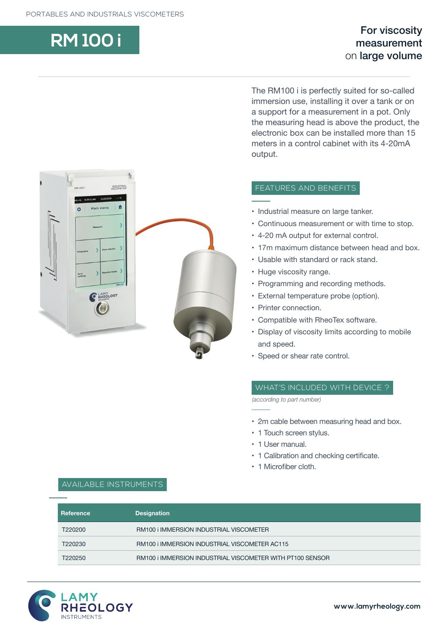# **RM 100 i** For viscosity measurement on large volume

INDUSTRIA  $-6.38:11$  AM  $11/21/2018$ Main menu  $\ddot{\bullet}$  $\overline{a}$ Zero<br>setting RHEOLOGY

The RM100 i is perfectly suited for so-called immersion use, installing it over a tank or on a support for a measurement in a pot. Only the measuring head is above the product, the electronic box can be installed more than 15 meters in a control cabinet with its 4-20mA output.

# FEATURES AND BENEFITS

- Industrial measure on large tanker.
- Continuous measurement or with time to stop.
- 4-20 mA output for external control.
- 17m maximum distance between head and box.
- Usable with standard or rack stand.
- Huge viscosity range.
- Programming and recording methods.
- External temperature probe (option).
- Printer connection.
- Compatible with RheoTex software.
- Display of viscosity limits according to mobile and speed.
- Speed or shear rate control.

## WHAT'S INCLUDED WITH DEVICE ?

*(according to part number)*

- 2m cable between measuring head and box.
- 1 Touch screen stylus.
- 1 User manual.
- 1 Calibration and checking certificate.
- 1 Microfiber cloth.

| Reference | <b>Designation</b>                                        |  |
|-----------|-----------------------------------------------------------|--|
| T220200   | RM100 i IMMERSION INDUSTRIAL VISCOMETER                   |  |
| T220230   | RM100 i IMMERSION INDUSTRIAL VISCOMETER AC115             |  |
| T220250   | RM100 i IMMERSION INDUSTRIAL VISCOMETER WITH PT100 SENSOR |  |
|           |                                                           |  |